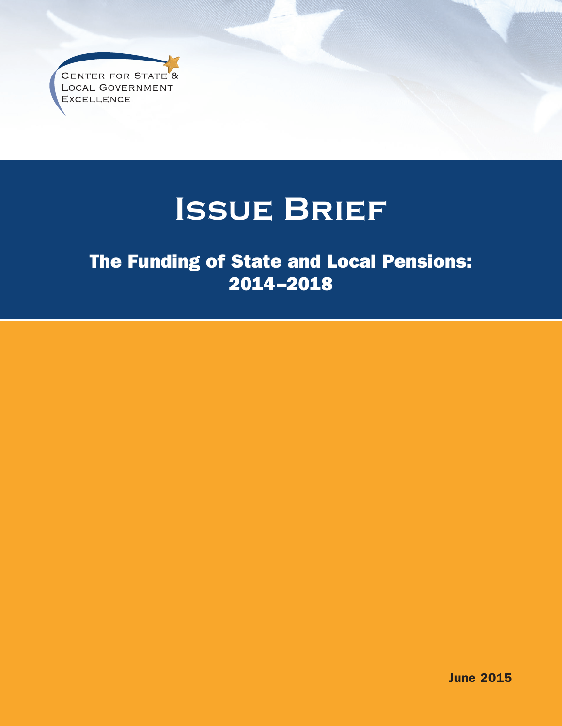CENTER FOR STATE<sup>8</sup> LOCAL GOVERNMENT **EXCELLENCE** 

# **Issue Brief**

# The Funding of State and Local Pensions: 2014–2018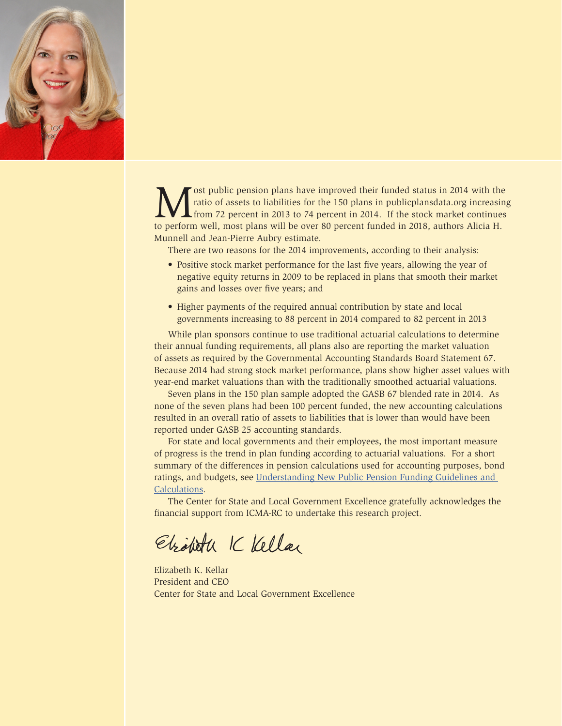

Solution plans have improved their funded status in 2014 with the ratio of assets to liabilities for the 150 plans in publicplansdata.org increasing from 72 percent in 2013 to 74 percent in 2014. If the stock market contin ratio of assets to liabilities for the 150 plans in publicplansdata.org increasing from 72 percent in 2013 to 74 percent in 2014. If the stock market continues to perform well, most plans will be over 80 percent funded in 2018, authors Alicia H. Munnell and Jean-Pierre Aubry estimate.

There are two reasons for the 2014 improvements, according to their analysis:

- Positive stock market performance for the last five years, allowing the year of negative equity returns in 2009 to be replaced in plans that smooth their market gains and losses over five years; and
- Higher payments of the required annual contribution by state and local governments increasing to 88 percent in 2014 compared to 82 percent in 2013

While plan sponsors continue to use traditional actuarial calculations to determine their annual funding requirements, all plans also are reporting the market valuation of assets as required by the Governmental Accounting Standards Board Statement 67. Because 2014 had strong stock market performance, plans show higher asset values with year-end market valuations than with the traditionally smoothed actuarial valuations.

Seven plans in the 150 plan sample adopted the GASB 67 blended rate in 2014. As none of the seven plans had been 100 percent funded, the new accounting calculations resulted in an overall ratio of assets to liabilities that is lower than would have been reported under GASB 25 accounting standards.

For state and local governments and their employees, the most important measure of progress is the trend in plan funding according to actuarial valuations. For a short summary of the differences in pension calculations used for accounting purposes, bond ratings, and budgets, see [Understanding New Public Pension Funding Guidelines and](http://slge.org/wp-content/uploads/2013/11/Understanding_New_Public_Pension_Funding_Guidelines_and_Calculations.pdf)  [Calculations](http://slge.org/wp-content/uploads/2013/11/Understanding_New_Public_Pension_Funding_Guidelines_and_Calculations.pdf).

The Center for State and Local Government Excellence gratefully acknowledges the financial support from ICMA-RC to undertake this research project.

Ebiolista K Kellar

Elizabeth K. Kellar President and CEO Center for State and Local Government Excellence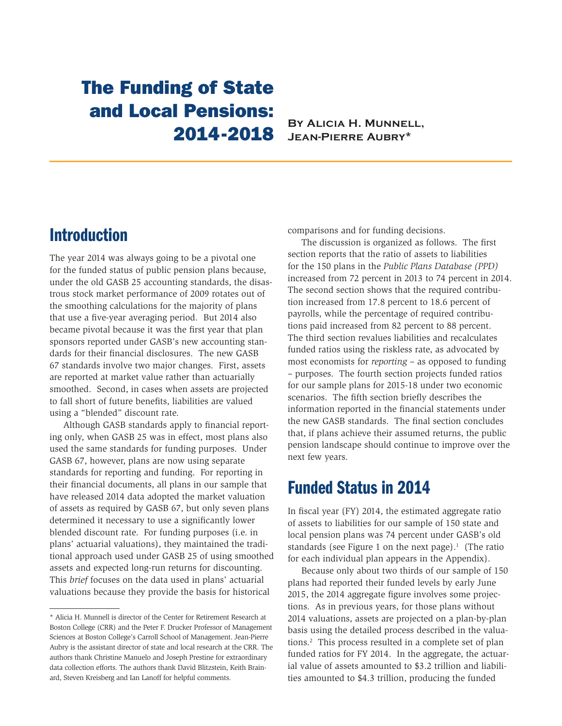# The Funding of State and Local Pensions:

#### **2014-2018** BY ALICIA H. MUNNELL, **Jean-Pierre Aubry\***

#### Introduction

The year 2014 was always going to be a pivotal one for the funded status of public pension plans because, under the old GASB 25 accounting standards, the disastrous stock market performance of 2009 rotates out of the smoothing calculations for the majority of plans that use a five-year averaging period. But 2014 also became pivotal because it was the first year that plan sponsors reported under GASB's new accounting standards for their financial disclosures. The new GASB 67 standards involve two major changes. First, assets are reported at market value rather than actuarially smoothed. Second, in cases when assets are projected to fall short of future benefits, liabilities are valued using a "blended" discount rate.

Although GASB standards apply to financial reporting only, when GASB 25 was in effect, most plans also used the same standards for funding purposes. Under GASB 67, however, plans are now using separate standards for reporting and funding. For reporting in their financial documents, all plans in our sample that have released 2014 data adopted the market valuation of assets as required by GASB 67, but only seven plans determined it necessary to use a significantly lower blended discount rate. For funding purposes (i.e. in plans' actuarial valuations), they maintained the traditional approach used under GASB 25 of using smoothed assets and expected long-run returns for discounting. This *brief* focuses on the data used in plans' actuarial valuations because they provide the basis for historical

comparisons and for funding decisions.

The discussion is organized as follows. The first section reports that the ratio of assets to liabilities for the 150 plans in the *Public Plans Database (PPD)* increased from 72 percent in 2013 to 74 percent in 2014. The second section shows that the required contribution increased from 17.8 percent to 18.6 percent of payrolls, while the percentage of required contributions paid increased from 82 percent to 88 percent. The third section revalues liabilities and recalculates funded ratios using the riskless rate, as advocated by most economists for *reporting* – as opposed to funding – purposes. The fourth section projects funded ratios for our sample plans for 2015-18 under two economic scenarios. The fifth section briefly describes the information reported in the financial statements under the new GASB standards. The final section concludes that, if plans achieve their assumed returns, the public pension landscape should continue to improve over the next few years.

#### Funded Status in 2014

In fiscal year (FY) 2014, the estimated aggregate ratio of assets to liabilities for our sample of 150 state and local pension plans was 74 percent under GASB's old standards (see Figure 1 on the next page). $<sup>1</sup>$  (The ratio</sup> for each individual plan appears in the Appendix).

Because only about two thirds of our sample of 150 plans had reported their funded levels by early June 2015, the 2014 aggregate figure involves some projections. As in previous years, for those plans without 2014 valuations, assets are projected on a plan-by-plan basis using the detailed process described in the valuations.2 This process resulted in a complete set of plan funded ratios for FY 2014. In the aggregate, the actuarial value of assets amounted to \$3.2 trillion and liabilities amounted to \$4.3 trillion, producing the funded

<sup>\*</sup> Alicia H. Munnell is director of the Center for Retirement Research at Boston College (CRR) and the Peter F. Drucker Professor of Management Sciences at Boston College's Carroll School of Management. Jean-Pierre Aubry is the assistant director of state and local research at the CRR. The authors thank Christine Manuelo and Joseph Prestine for extraordinary data collection efforts. The authors thank David Blitzstein, Keith Brainard, Steven Kreisberg and Ian Lanoff for helpful comments.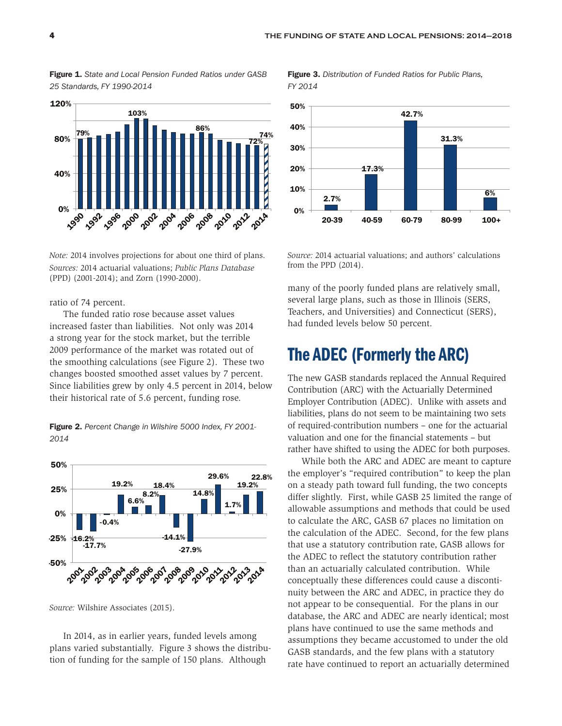Figure 1. *State and Local Pension Funded Ratios under GASB 25 Standards, FY 1990-2014* 



*Note:* 2014 involves projections for about one third of plans. *Sources:* 2014 actuarial valuations; *Public Plans Database*  (PPD) (2001-2014); and Zorn (1990-2000).

ratio of 74 percent.

The funded ratio rose because asset values increased faster than liabilities. Not only was 2014 a strong year for the stock market, but the terrible 2009 performance of the market was rotated out of the smoothing calculations (see Figure 2). These two changes boosted smoothed asset values by 7 percent. Since liabilities grew by only 4.5 percent in 2014, below their historical rate of 5.6 percent, funding rose.

Figure 2. *Percent Change in Wilshire 5000 Index, FY 2001- 2014* 



*Source:* Wilshire Associates (2015).

In 2014, as in earlier years, funded levels among plans varied substantially. Figure 3 shows the distribution of funding for the sample of 150 plans. Although

Figure 3. *Distribution of Funded Ratios for Public Plans, FY 2014* 



*Source:* 2014 actuarial valuations; and authors' calculations from the PPD (2014).

many of the poorly funded plans are relatively small, several large plans, such as those in Illinois (SERS, Teachers, and Universities) and Connecticut (SERS), had funded levels below 50 percent.

### The ADEC (Formerly the ARC)

The new GASB standards replaced the Annual Required Contribution (ARC) with the Actuarially Determined Employer Contribution (ADEC). Unlike with assets and liabilities, plans do not seem to be maintaining two sets of required-contribution numbers – one for the actuarial valuation and one for the financial statements – but rather have shifted to using the ADEC for both purposes.

While both the ARC and ADEC are meant to capture the employer's "required contribution" to keep the plan on a steady path toward full funding, the two concepts differ slightly. First, while GASB 25 limited the range of allowable assumptions and methods that could be used to calculate the ARC, GASB 67 places no limitation on the calculation of the ADEC. Second, for the few plans that use a statutory contribution rate, GASB allows for the ADEC to reflect the statutory contribution rather than an actuarially calculated contribution. While conceptually these differences could cause a discontinuity between the ARC and ADEC, in practice they do not appear to be consequential. For the plans in our database, the ARC and ADEC are nearly identical; most plans have continued to use the same methods and assumptions they became accustomed to under the old GASB standards, and the few plans with a statutory rate have continued to report an actuarially determined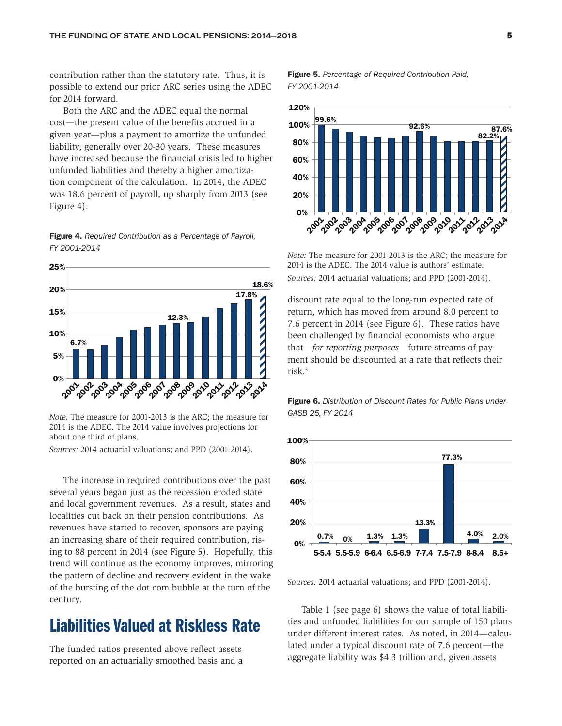contribution rather than the statutory rate. Thus, it is possible to extend our prior ARC series using the ADEC for 2014 forward.

Both the ARC and the ADEC equal the normal cost—the present value of the benefits accrued in a given year—plus a payment to amortize the unfunded liability, generally over 20-30 years. These measures have increased because the financial crisis led to higher unfunded liabilities and thereby a higher amortization component of the calculation. In 2014, the ADEC was 18.6 percent of payroll, up sharply from 2013 (see Figure 4).

Figure 4. *Required Contribution as a Percentage of Payroll, FY 2001-2014* 



*Note:* The measure for 2001-2013 is the ARC; the measure for 2014 is the ADEC. The 2014 value involves projections for about one third of plans.

*Sources:* 2014 actuarial valuations; and PPD (2001-2014).

The increase in required contributions over the past several years began just as the recession eroded state and local government revenues. As a result, states and localities cut back on their pension contributions. As revenues have started to recover, sponsors are paying an increasing share of their required contribution, rising to 88 percent in 2014 (see Figure 5). Hopefully, this trend will continue as the economy improves, mirroring the pattern of decline and recovery evident in the wake of the bursting of the dot.com bubble at the turn of the century.

### Liabilities Valued at Riskless Rate

The funded ratios presented above reflect assets reported on an actuarially smoothed basis and a Figure 5. *Percentage of Required Contribution Paid, FY 2001-2014* 



*Note:* The measure for 2001-2013 is the ARC; the measure for 2014 is the ADEC. The 2014 value is authors' estimate. *Sources:* 2014 actuarial valuations; and PPD (2001-2014).

discount rate equal to the long-run expected rate of return, which has moved from around 8.0 percent to 7.6 percent in 2014 (see Figure 6). These ratios have been challenged by financial economists who argue that—*for reporting purposes*—future streams of payment should be discounted at a rate that reflects their risk.3

Figure 6. *Distribution of Discount Rates for Public Plans under GASB 25, FY 2014* 



*Sources:* 2014 actuarial valuations; and PPD (2001-2014).

Table 1 (see page 6) shows the value of total liabilities and unfunded liabilities for our sample of 150 plans under different interest rates. As noted, in 2014—calculated under a typical discount rate of 7.6 percent—the aggregate liability was \$4.3 trillion and, given assets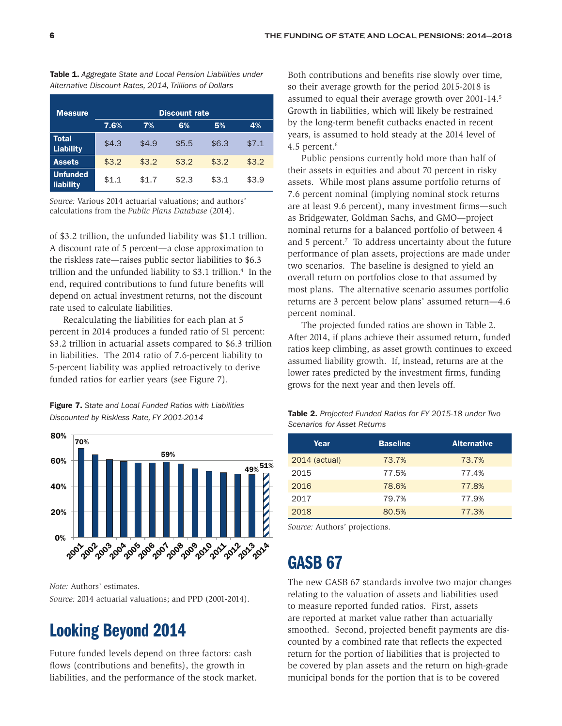Table 1. *Aggregate State and Local Pension Liabilities under Alternative Discount Rates, 2014, Trillions of Dollars*

| <b>Measure</b>                   |       | <b>Discount rate</b> |       |       |       |  |  |  |  |  |  |  |
|----------------------------------|-------|----------------------|-------|-------|-------|--|--|--|--|--|--|--|
|                                  | 7.6%  | 7%                   | 6%    | 5%    | 4%    |  |  |  |  |  |  |  |
| <b>Total</b><br><b>Liability</b> | \$4.3 | \$4.9                | \$5.5 | \$6.3 | \$7.1 |  |  |  |  |  |  |  |
| <b>Assets</b>                    | \$3.2 | \$3.2                | \$3.2 | \$3.2 | \$3.2 |  |  |  |  |  |  |  |
| <b>Unfunded</b><br>liability     | \$1.1 | \$1.7                | \$2.3 | \$3.1 | \$3.9 |  |  |  |  |  |  |  |

*Source:* Various 2014 actuarial valuations; and authors' calculations from the *Public Plans Database* (2014).

of \$3.2 trillion, the unfunded liability was \$1.1 trillion. A discount rate of 5 percent—a close approximation to the riskless rate—raises public sector liabilities to \$6.3 trillion and the unfunded liability to \$3.1 trillion.<sup>4</sup> In the end, required contributions to fund future benefits will depend on actual investment returns, not the discount rate used to calculate liabilities.

Recalculating the liabilities for each plan at 5 percent in 2014 produces a funded ratio of 51 percent: \$3.2 trillion in actuarial assets compared to \$6.3 trillion in liabilities. The 2014 ratio of 7.6-percent liability to 5-percent liability was applied retroactively to derive funded ratios for earlier years (see Figure 7).

Figure 7. *State and Local Funded Ratios with Liabilities Discounted by Riskless Rate, FY 2001-2014* 



*Note:* Authors' estimates. *Source:* 2014 actuarial valuations; and PPD (2001-2014).

### Looking Beyond 2014

Future funded levels depend on three factors: cash flows (contributions and benefits), the growth in liabilities, and the performance of the stock market.

Both contributions and benefits rise slowly over time, so their average growth for the period 2015-2018 is assumed to equal their average growth over 2001-14.<sup>5</sup> Growth in liabilities, which will likely be restrained by the long-term benefit cutbacks enacted in recent years, is assumed to hold steady at the 2014 level of 4.5 percent.<sup>6</sup>

Public pensions currently hold more than half of their assets in equities and about 70 percent in risky assets. While most plans assume portfolio returns of 7.6 percent nominal (implying nominal stock returns are at least 9.6 percent), many investment firms—such as Bridgewater, Goldman Sachs, and GMO—project nominal returns for a balanced portfolio of between 4 and 5 percent.<sup>7</sup> To address uncertainty about the future performance of plan assets, projections are made under two scenarios. The baseline is designed to yield an overall return on portfolios close to that assumed by most plans. The alternative scenario assumes portfolio returns are 3 percent below plans' assumed return—4.6 percent nominal.

The projected funded ratios are shown in Table 2. After 2014, if plans achieve their assumed return, funded ratios keep climbing, as asset growth continues to exceed assumed liability growth. If, instead, returns are at the lower rates predicted by the investment firms, funding grows for the next year and then levels off.

| Table 2. Projected Funded Ratios for FY 2015-18 under Two |  |
|-----------------------------------------------------------|--|
| <b>Scenarios for Asset Returns</b>                        |  |

| Year          | <b>Baseline</b> | <b>Alternative</b> |
|---------------|-----------------|--------------------|
| 2014 (actual) | 73.7%           | 73.7%              |
| 2015          | 77.5%           | 77.4%              |
| 2016          | 78.6%           | 77.8%              |
| 2017          | 79.7%           | 77.9%              |
| 2018          | 80.5%           | 77.3%              |

*Source:* Authors' projections.

## GASB 67

The new GASB 67 standards involve two major changes relating to the valuation of assets and liabilities used to measure reported funded ratios. First, assets are reported at market value rather than actuarially smoothed. Second, projected benefit payments are discounted by a combined rate that reflects the expected return for the portion of liabilities that is projected to be covered by plan assets and the return on high-grade municipal bonds for the portion that is to be covered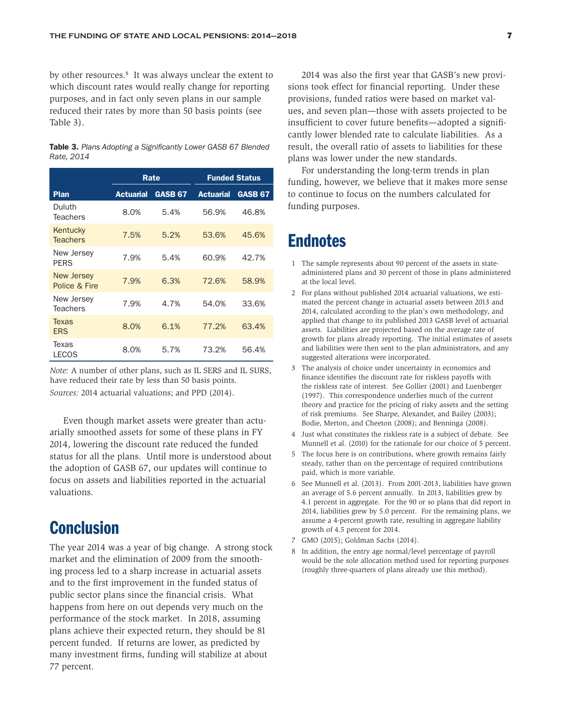by other resources.<sup>8</sup> It was always unclear the extent to which discount rates would really change for reporting purposes, and in fact only seven plans in our sample reduced their rates by more than 50 basis points (see Table 3).

|            |  |  |  |  | <b>Table 3.</b> Plans Adopting a Significantly Lower GASB 67 Blended |  |
|------------|--|--|--|--|----------------------------------------------------------------------|--|
| Rate, 2014 |  |  |  |  |                                                                      |  |

|                                    |                  | Rate           |                  | <b>Funded Status</b> |
|------------------------------------|------------------|----------------|------------------|----------------------|
| Plan                               | <b>Actuarial</b> | <b>GASB 67</b> | <b>Actuarial</b> | <b>GASB 67</b>       |
| Duluth<br><b>Teachers</b>          | 8.0%             | 5.4%           | 56.9%            | 46.8%                |
| Kentucky<br><b>Teachers</b>        | 7.5%             | 5.2%           | 53.6%            | 45.6%                |
| New Jersey<br><b>PFRS</b>          | 7.9%             | 5.4%           | 60.9%            | 42.7%                |
| <b>New Jersey</b><br>Police & Fire | 7.9%             | 6.3%           | 72.6%            | 58.9%                |
| New Jersey<br><b>Teachers</b>      | 7.9%             | 4.7%           | 54.0%            | 33.6%                |
| Texas<br><b>ERS</b>                | 8.0%             | 6.1%           | 77.2%            | 63.4%                |
| Texas<br>LECOS                     | 8.0%             | 5.7%           | 73.2%            | 56.4%                |

*Note:* A number of other plans, such as IL SERS and IL SURS, have reduced their rate by less than 50 basis points. *Sources:* 2014 actuarial valuations; and PPD (2014).

Even though market assets were greater than actuarially smoothed assets for some of these plans in FY 2014, lowering the discount rate reduced the funded status for all the plans. Until more is understood about the adoption of GASB 67, our updates will continue to focus on assets and liabilities reported in the actuarial valuations.

#### **Conclusion**

The year 2014 was a year of big change. A strong stock market and the elimination of 2009 from the smoothing process led to a sharp increase in actuarial assets and to the first improvement in the funded status of public sector plans since the financial crisis. What happens from here on out depends very much on the performance of the stock market. In 2018, assuming plans achieve their expected return, they should be 81 percent funded. If returns are lower, as predicted by many investment firms, funding will stabilize at about 77 percent.

2014 was also the first year that GASB's new provisions took effect for financial reporting. Under these provisions, funded ratios were based on market values, and seven plan—those with assets projected to be insufficient to cover future benefits—adopted a significantly lower blended rate to calculate liabilities. As a result, the overall ratio of assets to liabilities for these plans was lower under the new standards.

For understanding the long-term trends in plan funding, however, we believe that it makes more sense to continue to focus on the numbers calculated for funding purposes.

#### **Endnotes**

- 1 The sample represents about 90 percent of the assets in stateadministered plans and 30 percent of those in plans administered at the local level.
- 2 For plans without published 2014 actuarial valuations, we estimated the percent change in actuarial assets between 2013 and 2014, calculated according to the plan's own methodology, and applied that change to its published 2013 GASB level of actuarial assets. Liabilities are projected based on the average rate of growth for plans already reporting. The initial estimates of assets and liabilities were then sent to the plan administrators, and any suggested alterations were incorporated.
- 3 The analysis of choice under uncertainty in economics and finance identifies the discount rate for riskless payoffs with the riskless rate of interest. See Gollier (2001) and Luenberger (1997). This correspondence underlies much of the current theory and practice for the pricing of risky assets and the setting of risk premiums. See Sharpe, Alexander, and Bailey (2003); Bodie, Merton, and Cheeton (2008); and Benninga (2008).
- 4 Just what constitutes the riskless rate is a subject of debate. See Munnell et al. (2010) for the rationale for our choice of 5 percent.
- 5 The focus here is on contributions, where growth remains fairly steady, rather than on the percentage of required contributions paid, which is more variable.
- 6 See Munnell et al. (2013). From 2001-2013, liabilities have grown an average of 5.6 percent annually. In 2013, liabilities grew by 4.1 percent in aggregate. For the 90 or so plans that did report in 2014, liabilities grew by 5.0 percent. For the remaining plans, we assume a 4-percent growth rate, resulting in aggregate liability growth of 4.5 percent for 2014.
- 7 GMO (2015); Goldman Sachs (2014).
- 8 In addition, the entry age normal/level percentage of payroll would be the sole allocation method used for reporting purposes (roughly three-quarters of plans already use this method).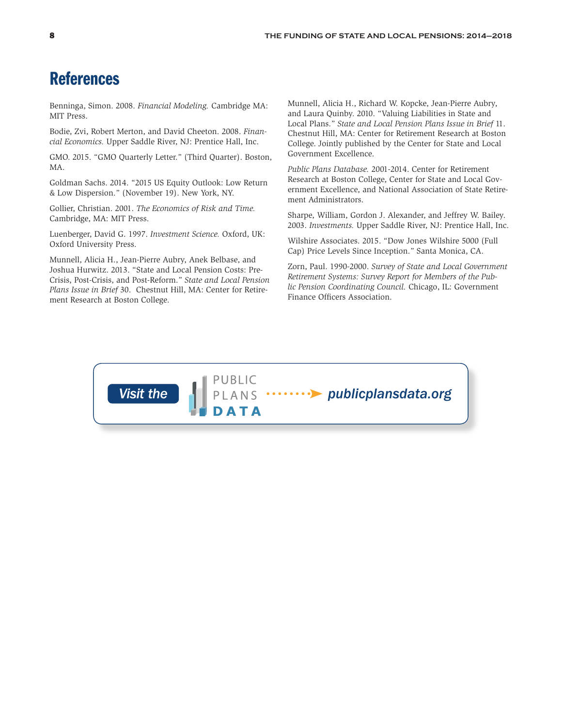### References

Benninga, Simon. 2008. *Financial Modeling.* Cambridge MA: MIT Press.

Bodie, Zvi, Robert Merton, and David Cheeton. 2008. *Financial Economics.* Upper Saddle River, NJ: Prentice Hall, Inc.

GMO. 2015. "GMO Quarterly Letter." (Third Quarter). Boston, MA.

Goldman Sachs. 2014. "2015 US Equity Outlook: Low Return & Low Dispersion." (November 19). New York, NY.

Gollier, Christian. 2001. *The Economics of Risk and Time.* Cambridge, MA: MIT Press.

Luenberger, David G. 1997. *Investment Science.* Oxford, UK: Oxford University Press.

Munnell, Alicia H., Jean-Pierre Aubry, Anek Belbase, and Joshua Hurwitz. 2013. "State and Local Pension Costs: Pre-Crisis, Post-Crisis, and Post-Reform." *State and Local Pension Plans Issue in Brief* 30. Chestnut Hill, MA: Center for Retirement Research at Boston College.

Munnell, Alicia H., Richard W. Kopcke, Jean-Pierre Aubry, and Laura Quinby. 2010. "Valuing Liabilities in State and Local Plans." *State and Local Pension Plans Issue in Brief* 11. Chestnut Hill, MA: Center for Retirement Research at Boston College. Jointly published by the Center for State and Local Government Excellence.

*Public Plans Database.* 2001-2014. Center for Retirement Research at Boston College, Center for State and Local Government Excellence, and National Association of State Retirement Administrators.

Sharpe, William, Gordon J. Alexander, and Jeffrey W. Bailey. 2003. *Investments.* Upper Saddle River, NJ: Prentice Hall, Inc.

Wilshire Associates. 2015. "Dow Jones Wilshire 5000 (Full Cap) Price Levels Since Inception." Santa Monica, CA.

Zorn, Paul. 1990-2000. *Survey of State and Local Government Retirement Systems: Survey Report for Members of the Public Pension Coordinating Council.* Chicago, IL: Government Finance Officers Association.

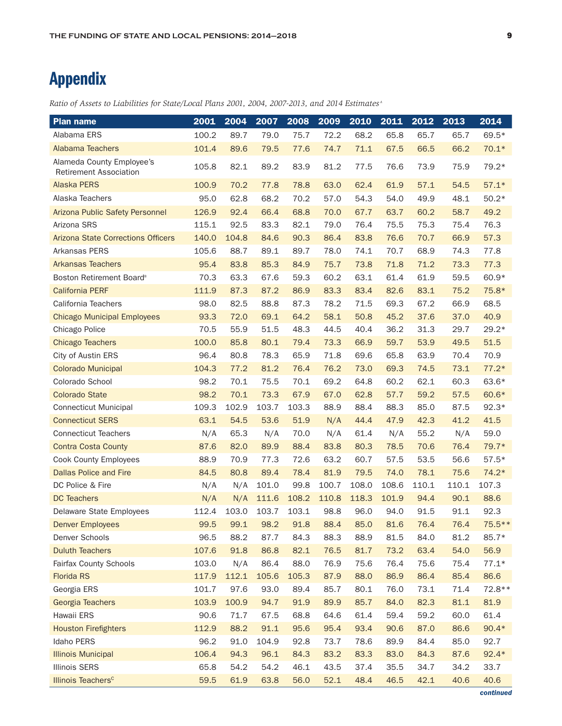## Appendix

| <b>Plan name</b>                                           | 2001  | 2004  | 2007  | 2008  | 2009  | 2010  | 2011  | 2012  | 2013  | 2014     |
|------------------------------------------------------------|-------|-------|-------|-------|-------|-------|-------|-------|-------|----------|
| Alabama ERS                                                | 100.2 | 89.7  | 79.0  | 75.7  | 72.2  | 68.2  | 65.8  | 65.7  | 65.7  | 69.5*    |
| Alabama Teachers                                           | 101.4 | 89.6  | 79.5  | 77.6  | 74.7  | 71.1  | 67.5  | 66.5  | 66.2  | $70.1*$  |
| Alameda County Employee's<br><b>Retirement Association</b> | 105.8 | 82.1  | 89.2  | 83.9  | 81.2  | 77.5  | 76.6  | 73.9  | 75.9  | 79.2*    |
| <b>Alaska PERS</b>                                         | 100.9 | 70.2  | 77.8  | 78.8  | 63.0  | 62.4  | 61.9  | 57.1  | 54.5  | $57.1*$  |
| Alaska Teachers                                            | 95.0  | 62.8  | 68.2  | 70.2  | 57.0  | 54.3  | 54.0  | 49.9  | 48.1  | $50.2*$  |
| Arizona Public Safety Personnel                            | 126.9 | 92.4  | 66.4  | 68.8  | 70.0  | 67.7  | 63.7  | 60.2  | 58.7  | 49.2     |
| Arizona SRS                                                | 115.1 | 92.5  | 83.3  | 82.1  | 79.0  | 76.4  | 75.5  | 75.3  | 75.4  | 76.3     |
| <b>Arizona State Corrections Officers</b>                  | 140.0 | 104.8 | 84.6  | 90.3  | 86.4  | 83.8  | 76.6  | 70.7  | 66.9  | 57.3     |
| Arkansas PERS                                              | 105.6 | 88.7  | 89.1  | 89.7  | 78.0  | 74.1  | 70.7  | 68.9  | 74.3  | 77.8     |
| <b>Arkansas Teachers</b>                                   | 95.4  | 83.8  | 85.3  | 84.9  | 75.7  | 73.8  | 71.8  | 71.2  | 73.3  | 77.3     |
| Boston Retirement Board <sup>®</sup>                       | 70.3  | 63.3  | 67.6  | 59.3  | 60.2  | 63.1  | 61.4  | 61.9  | 59.5  | 60.9*    |
| <b>California PERF</b>                                     | 111.9 | 87.3  | 87.2  | 86.9  | 83.3  | 83.4  | 82.6  | 83.1  | 75.2  | 75.8*    |
| California Teachers                                        | 98.0  | 82.5  | 88.8  | 87.3  | 78.2  | 71.5  | 69.3  | 67.2  | 66.9  | 68.5     |
| <b>Chicago Municipal Employees</b>                         | 93.3  | 72.0  | 69.1  | 64.2  | 58.1  | 50.8  | 45.2  | 37.6  | 37.0  | 40.9     |
| Chicago Police                                             | 70.5  | 55.9  | 51.5  | 48.3  | 44.5  | 40.4  | 36.2  | 31.3  | 29.7  | $29.2*$  |
| <b>Chicago Teachers</b>                                    | 100.0 | 85.8  | 80.1  | 79.4  | 73.3  | 66.9  | 59.7  | 53.9  | 49.5  | 51.5     |
| City of Austin ERS                                         | 96.4  | 80.8  | 78.3  | 65.9  | 71.8  | 69.6  | 65.8  | 63.9  | 70.4  | 70.9     |
| <b>Colorado Municipal</b>                                  | 104.3 | 77.2  | 81.2  | 76.4  | 76.2  | 73.0  | 69.3  | 74.5  | 73.1  | $77.2*$  |
| Colorado School                                            | 98.2  | 70.1  | 75.5  | 70.1  | 69.2  | 64.8  | 60.2  | 62.1  | 60.3  | 63.6*    |
| <b>Colorado State</b>                                      | 98.2  | 70.1  | 73.3  | 67.9  | 67.0  | 62.8  | 57.7  | 59.2  | 57.5  | 60.6*    |
| <b>Connecticut Municipal</b>                               | 109.3 | 102.9 | 103.7 | 103.3 | 88.9  | 88.4  | 88.3  | 85.0  | 87.5  | $92.3*$  |
| <b>Connecticut SERS</b>                                    | 63.1  | 54.5  | 53.6  | 51.9  | N/A   | 44.4  | 47.9  | 42.3  | 41.2  | 41.5     |
| <b>Connecticut Teachers</b>                                | N/A   | 65.3  | N/A   | 70.0  | N/A   | 61.4  | N/A   | 55.2  | N/A   | 59.0     |
| <b>Contra Costa County</b>                                 | 87.6  | 82.0  | 89.9  | 88.4  | 83.8  | 80.3  | 78.5  | 70.6  | 76.4  | 79.7*    |
| <b>Cook County Employees</b>                               | 88.9  | 70.9  | 77.3  | 72.6  | 63.2  | 60.7  | 57.5  | 53.5  | 56.6  | $57.5*$  |
| <b>Dallas Police and Fire</b>                              | 84.5  | 80.8  | 89.4  | 78.4  | 81.9  | 79.5  | 74.0  | 78.1  | 75.6  | $74.2*$  |
| DC Police & Fire                                           | N/A   | N/A   | 101.0 | 99.8  | 100.7 | 108.0 | 108.6 | 110.1 | 110.1 | 107.3    |
| <b>DC Teachers</b>                                         | N/A   | N/A   | 111.6 | 108.2 | 110.8 | 118.3 | 101.9 | 94.4  | 90.1  | 88.6     |
| Delaware State Employees                                   | 112.4 | 103.0 | 103.7 | 103.1 | 98.8  | 96.0  | 94.0  | 91.5  | 91.1  | 92.3     |
| <b>Denver Employees</b>                                    | 99.5  | 99.1  | 98.2  | 91.8  | 88.4  | 85.0  | 81.6  | 76.4  | 76.4  | $75.5**$ |
| Denver Schools                                             | 96.5  | 88.2  | 87.7  | 84.3  | 88.3  | 88.9  | 81.5  | 84.0  | 81.2  | 85.7*    |
| <b>Duluth Teachers</b>                                     | 107.6 | 91.8  | 86.8  | 82.1  | 76.5  | 81.7  | 73.2  | 63.4  | 54.0  | 56.9     |
| Fairfax County Schools                                     | 103.0 | N/A   | 86.4  | 88.0  | 76.9  | 75.6  | 76.4  | 75.6  | 75.4  | $77.1*$  |
| <b>Florida RS</b>                                          | 117.9 | 112.1 | 105.6 | 105.3 | 87.9  | 88.0  | 86.9  | 86.4  | 85.4  | 86.6     |
| Georgia ERS                                                | 101.7 | 97.6  | 93.0  | 89.4  | 85.7  | 80.1  | 76.0  | 73.1  | 71.4  | 72.8 **  |
| Georgia Teachers                                           | 103.9 | 100.9 | 94.7  | 91.9  | 89.9  | 85.7  | 84.0  | 82.3  | 81.1  | 81.9     |
| Hawaii ERS                                                 | 90.6  | 71.7  | 67.5  | 68.8  | 64.6  | 61.4  | 59.4  | 59.2  | 60.0  | 61.4     |
| <b>Houston Firefighters</b>                                | 112.9 | 88.2  | 91.1  | 95.6  | 95.4  | 93.4  | 90.6  | 87.0  | 86.6  | $90.4*$  |
| Idaho PERS                                                 | 96.2  | 91.0  | 104.9 | 92.8  | 73.7  | 78.6  | 89.9  | 84.4  | 85.0  | 92.7     |
| <b>Illinois Municipal</b>                                  | 106.4 | 94.3  | 96.1  | 84.3  | 83.2  | 83.3  | 83.0  | 84.3  | 87.6  | $92.4*$  |
| <b>Illinois SERS</b>                                       | 65.8  | 54.2  | 54.2  | 46.1  | 43.5  | 37.4  | 35.5  | 34.7  | 34.2  | 33.7     |
| Illinois Teachers <sup>c</sup>                             | 59.5  | 61.9  | 63.8  | 56.0  | 52.1  | 48.4  | 46.5  | 42.1  | 40.6  | 40.6     |

*Ratio of Assets to Liabilities for State/Local Plans 2001, 2004, 2007-2013, and 2014 Estimates <sup>a</sup>*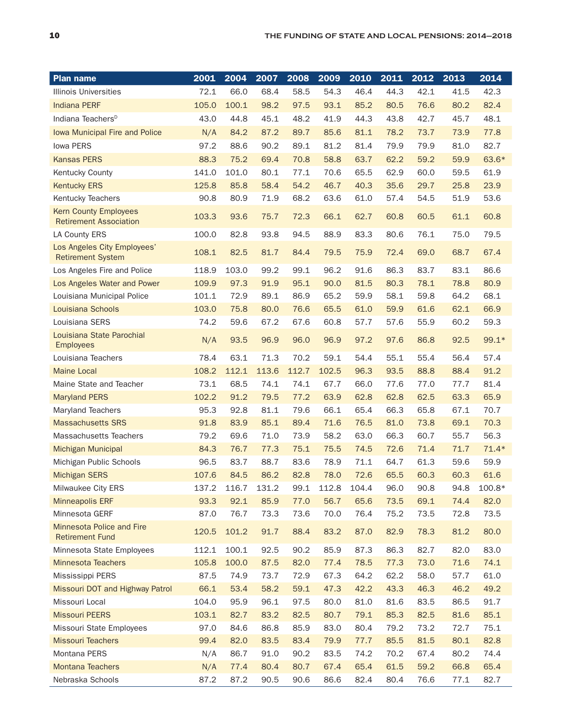| <b>Plan name</b>                                              | 2001  | 2004  | 2007  | 2008  | 2009  | 2010  | 2011 | 2012 | 2013 | 2014     |
|---------------------------------------------------------------|-------|-------|-------|-------|-------|-------|------|------|------|----------|
| <b>Illinois Universities</b>                                  | 72.1  | 66.0  | 68.4  | 58.5  | 54.3  | 46.4  | 44.3 | 42.1 | 41.5 | 42.3     |
| <b>Indiana PERF</b>                                           | 105.0 | 100.1 | 98.2  | 97.5  | 93.1  | 85.2  | 80.5 | 76.6 | 80.2 | 82.4     |
| Indiana Teachers <sup>D</sup>                                 | 43.0  | 44.8  | 45.1  | 48.2  | 41.9  | 44.3  | 43.8 | 42.7 | 45.7 | 48.1     |
| Iowa Municipal Fire and Police                                | N/A   | 84.2  | 87.2  | 89.7  | 85.6  | 81.1  | 78.2 | 73.7 | 73.9 | 77.8     |
| <b>Iowa PERS</b>                                              | 97.2  | 88.6  | 90.2  | 89.1  | 81.2  | 81.4  | 79.9 | 79.9 | 81.0 | 82.7     |
| <b>Kansas PERS</b>                                            | 88.3  | 75.2  | 69.4  | 70.8  | 58.8  | 63.7  | 62.2 | 59.2 | 59.9 | 63.6*    |
| <b>Kentucky County</b>                                        | 141.0 | 101.0 | 80.1  | 77.1  | 70.6  | 65.5  | 62.9 | 60.0 | 59.5 | 61.9     |
| <b>Kentucky ERS</b>                                           | 125.8 | 85.8  | 58.4  | 54.2  | 46.7  | 40.3  | 35.6 | 29.7 | 25.8 | 23.9     |
| Kentucky Teachers                                             | 90.8  | 80.9  | 71.9  | 68.2  | 63.6  | 61.0  | 57.4 | 54.5 | 51.9 | 53.6     |
| <b>Kern County Employees</b><br><b>Retirement Association</b> | 103.3 | 93.6  | 75.7  | 72.3  | 66.1  | 62.7  | 60.8 | 60.5 | 61.1 | 60.8     |
| LA County ERS                                                 | 100.0 | 82.8  | 93.8  | 94.5  | 88.9  | 83.3  | 80.6 | 76.1 | 75.0 | 79.5     |
| Los Angeles City Employees'<br><b>Retirement System</b>       | 108.1 | 82.5  | 81.7  | 84.4  | 79.5  | 75.9  | 72.4 | 69.0 | 68.7 | 67.4     |
| Los Angeles Fire and Police                                   | 118.9 | 103.0 | 99.2  | 99.1  | 96.2  | 91.6  | 86.3 | 83.7 | 83.1 | 86.6     |
| Los Angeles Water and Power                                   | 109.9 | 97.3  | 91.9  | 95.1  | 90.0  | 81.5  | 80.3 | 78.1 | 78.8 | 80.9     |
| Louisiana Municipal Police                                    | 101.1 | 72.9  | 89.1  | 86.9  | 65.2  | 59.9  | 58.1 | 59.8 | 64.2 | 68.1     |
| Louisiana Schools                                             | 103.0 | 75.8  | 80.0  | 76.6  | 65.5  | 61.0  | 59.9 | 61.6 | 62.1 | 66.9     |
| Louisiana SERS                                                | 74.2  | 59.6  | 67.2  | 67.6  | 60.8  | 57.7  | 57.6 | 55.9 | 60.2 | 59.3     |
| Louisiana State Parochial<br><b>Employees</b>                 | N/A   | 93.5  | 96.9  | 96.0  | 96.9  | 97.2  | 97.6 | 86.8 | 92.5 | $99.1*$  |
| Louisiana Teachers                                            | 78.4  | 63.1  | 71.3  | 70.2  | 59.1  | 54.4  | 55.1 | 55.4 | 56.4 | 57.4     |
| <b>Maine Local</b>                                            | 108.2 | 112.1 | 113.6 | 112.7 | 102.5 | 96.3  | 93.5 | 88.8 | 88.4 | 91.2     |
| Maine State and Teacher                                       | 73.1  | 68.5  | 74.1  | 74.1  | 67.7  | 66.0  | 77.6 | 77.0 | 77.7 | 81.4     |
| <b>Maryland PERS</b>                                          | 102.2 | 91.2  | 79.5  | 77.2  | 63.9  | 62.8  | 62.8 | 62.5 | 63.3 | 65.9     |
| <b>Maryland Teachers</b>                                      | 95.3  | 92.8  | 81.1  | 79.6  | 66.1  | 65.4  | 66.3 | 65.8 | 67.1 | 70.7     |
| <b>Massachusetts SRS</b>                                      | 91.8  | 83.9  | 85.1  | 89.4  | 71.6  | 76.5  | 81.0 | 73.8 | 69.1 | 70.3     |
| <b>Massachusetts Teachers</b>                                 | 79.2  | 69.6  | 71.0  | 73.9  | 58.2  | 63.0  | 66.3 | 60.7 | 55.7 | 56.3     |
| <b>Michigan Municipal</b>                                     | 84.3  | 76.7  | 77.3  | 75.1  | 75.5  | 74.5  | 72.6 | 71.4 | 71.7 | $71.4*$  |
| Michigan Public Schools                                       | 96.5  | 83.7  | 88.7  | 83.6  | 78.9  | 71.1  | 64.7 | 61.3 | 59.6 | 59.9     |
| <b>Michigan SERS</b>                                          | 107.6 | 84.5  | 86.2  | 82.8  | 78.0  | 72.6  | 65.5 | 60.3 | 60.3 | 61.6     |
| Milwaukee City ERS                                            | 137.2 | 116.7 | 131.2 | 99.1  | 112.8 | 104.4 | 96.0 | 90.8 | 94.8 | $100.8*$ |
| <b>Minneapolis ERF</b>                                        | 93.3  | 92.1  | 85.9  | 77.0  | 56.7  | 65.6  | 73.5 | 69.1 | 74.4 | 82.0     |
| Minnesota GERF                                                | 87.0  | 76.7  | 73.3  | 73.6  | 70.0  | 76.4  | 75.2 | 73.5 | 72.8 | 73.5     |
| Minnesota Police and Fire<br><b>Retirement Fund</b>           | 120.5 | 101.2 | 91.7  | 88.4  | 83.2  | 87.0  | 82.9 | 78.3 | 81.2 | 80.0     |
| Minnesota State Employees                                     | 112.1 | 100.1 | 92.5  | 90.2  | 85.9  | 87.3  | 86.3 | 82.7 | 82.0 | 83.0     |
| <b>Minnesota Teachers</b>                                     | 105.8 | 100.0 | 87.5  | 82.0  | 77.4  | 78.5  | 77.3 | 73.0 | 71.6 | 74.1     |
| Mississippi PERS                                              | 87.5  | 74.9  | 73.7  | 72.9  | 67.3  | 64.2  | 62.2 | 58.0 | 57.7 | 61.0     |
| Missouri DOT and Highway Patrol                               | 66.1  | 53.4  | 58.2  | 59.1  | 47.3  | 42.2  | 43.3 | 46.3 | 46.2 | 49.2     |
| Missouri Local                                                | 104.0 | 95.9  | 96.1  | 97.5  | 80.0  | 81.0  | 81.6 | 83.5 | 86.5 | 91.7     |
| <b>Missouri PEERS</b>                                         | 103.1 | 82.7  | 83.2  | 82.5  | 80.7  | 79.1  | 85.3 | 82.5 | 81.6 | 85.1     |
| Missouri State Employees                                      | 97.0  | 84.6  | 86.8  | 85.9  | 83.0  | 80.4  | 79.2 | 73.2 | 72.7 | 75.1     |
| <b>Missouri Teachers</b>                                      | 99.4  | 82.0  | 83.5  | 83.4  | 79.9  | 77.7  | 85.5 | 81.5 | 80.1 | 82.8     |
| Montana PERS                                                  | N/A   | 86.7  | 91.0  | 90.2  | 83.5  | 74.2  | 70.2 | 67.4 | 80.2 | 74.4     |
| <b>Montana Teachers</b>                                       | N/A   | 77.4  | 80.4  | 80.7  | 67.4  | 65.4  | 61.5 | 59.2 | 66.8 | 65.4     |
| Nebraska Schools                                              | 87.2  | 87.2  | 90.5  | 90.6  | 86.6  | 82.4  | 80.4 | 76.6 | 77.1 | 82.7     |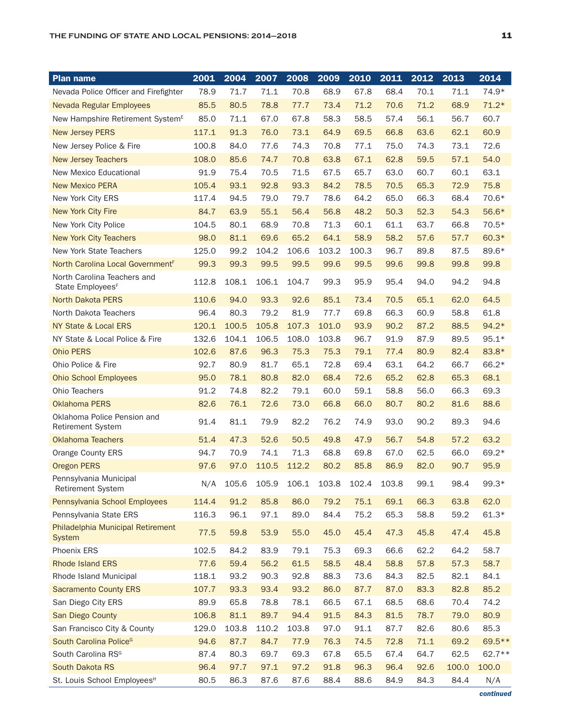| <b>Plan name</b>                                            | 2001  | 2004  | 2007  | 2008                          | 2009  | 2010  | 2011  | 2012 | 2013  | 2014    |
|-------------------------------------------------------------|-------|-------|-------|-------------------------------|-------|-------|-------|------|-------|---------|
| Nevada Police Officer and Firefighter                       | 78.9  | 71.7  | 71.1  | 70.8                          | 68.9  | 67.8  | 68.4  | 70.1 | 71.1  | 74.9*   |
| Nevada Regular Employees                                    | 85.5  | 80.5  | 78.8  | 77.7                          | 73.4  | 71.2  | 70.6  | 71.2 | 68.9  | $71.2*$ |
| New Hampshire Retirement System <sup>E</sup>                | 85.0  | 71.1  | 67.0  | 67.8                          | 58.3  | 58.5  | 57.4  | 56.1 | 56.7  | 60.7    |
| <b>New Jersey PERS</b>                                      | 117.1 | 91.3  | 76.0  | 73.1                          | 64.9  | 69.5  | 66.8  | 63.6 | 62.1  | 60.9    |
| New Jersey Police & Fire                                    | 100.8 | 84.0  | 77.6  | 74.3                          | 70.8  | 77.1  | 75.0  | 74.3 | 73.1  | 72.6    |
| <b>New Jersey Teachers</b>                                  | 108.0 | 85.6  | 74.7  | 70.8                          | 63.8  | 67.1  | 62.8  | 59.5 | 57.1  | 54.0    |
| New Mexico Educational                                      | 91.9  | 75.4  | 70.5  | 71.5                          | 67.5  | 65.7  | 63.0  | 60.7 | 60.1  | 63.1    |
| <b>New Mexico PERA</b>                                      | 105.4 | 93.1  | 92.8  | 93.3                          | 84.2  | 78.5  | 70.5  | 65.3 | 72.9  | 75.8    |
| New York City ERS                                           | 117.4 | 94.5  | 79.0  | 79.7                          | 78.6  | 64.2  | 65.0  | 66.3 | 68.4  | 70.6*   |
| New York City Fire                                          | 84.7  | 63.9  | 55.1  | 56.4                          | 56.8  | 48.2  | 50.3  | 52.3 | 54.3  | 56.6*   |
| New York City Police                                        | 104.5 | 80.1  | 68.9  | 70.8                          | 71.3  | 60.1  | 61.1  | 63.7 | 66.8  | 70.5*   |
| <b>New York City Teachers</b>                               | 98.0  | 81.1  | 69.6  | 65.2                          | 64.1  | 58.9  | 58.2  | 57.6 | 57.7  | 60.3*   |
| New York State Teachers                                     | 125.0 | 99.2  | 104.2 | 106.6                         | 103.2 | 100.3 | 96.7  | 89.8 | 87.5  | 89.6*   |
| North Carolina Local Government <sup>F</sup>                | 99.3  | 99.3  | 99.5  | 99.5                          | 99.6  | 99.5  | 99.6  | 99.8 | 99.8  | 99.8    |
| North Carolina Teachers and<br>State Employees <sup>F</sup> | 112.8 | 108.1 | 106.1 | 104.7                         | 99.3  | 95.9  | 95.4  | 94.0 | 94.2  | 94.8    |
| <b>North Dakota PERS</b>                                    | 110.6 | 94.0  | 93.3  | 92.6                          | 85.1  | 73.4  | 70.5  | 65.1 | 62.0  | 64.5    |
| North Dakota Teachers                                       | 96.4  | 80.3  | 79.2  | 81.9                          | 77.7  | 69.8  | 66.3  | 60.9 | 58.8  | 61.8    |
| NY State & Local ERS                                        | 120.1 | 100.5 | 105.8 | 107.3                         | 101.0 | 93.9  | 90.2  | 87.2 | 88.5  | 94.2*   |
| NY State & Local Police & Fire                              | 132.6 | 104.1 | 106.5 | 108.0                         | 103.8 | 96.7  | 91.9  | 87.9 | 89.5  | $95.1*$ |
| <b>Ohio PERS</b>                                            | 102.6 | 87.6  | 96.3  | 75.3                          | 75.3  | 79.1  | 77.4  | 80.9 | 82.4  | 83.8*   |
| Ohio Police & Fire                                          | 92.7  | 80.9  | 81.7  | 65.1                          | 72.8  | 69.4  | 63.1  | 64.2 | 66.7  | 66.2*   |
| <b>Ohio School Employees</b>                                | 95.0  | 78.1  | 80.8  | 82.0                          | 68.4  | 72.6  | 65.2  | 62.8 | 65.3  | 68.1    |
| Ohio Teachers                                               | 91.2  | 74.8  | 82.2  | 79.1                          | 60.0  | 59.1  | 58.8  | 56.0 | 66.3  | 69.3    |
| Oklahoma PERS                                               | 82.6  | 76.1  | 72.6  | 73.0                          | 66.8  | 66.0  | 80.7  | 80.2 | 81.6  | 88.6    |
| Oklahoma Police Pension and<br><b>Retirement System</b>     | 91.4  | 81.1  | 79.9  | 82.2                          | 76.2  | 74.9  | 93.0  | 90.2 | 89.3  | 94.6    |
| <b>Oklahoma Teachers</b>                                    | 51.4  | 47.3  | 52.6  | 50.5                          | 49.8  | 47.9  | 56.7  | 54.8 | 57.2  | 63.2    |
| Orange County ERS                                           | 94.7  | 70.9  | 74.1  | 71.3                          | 68.8  | 69.8  | 67.0  | 62.5 | 66.0  | 69.2*   |
| <b>Oregon PERS</b>                                          | 97.6  | 97.0  | 110.5 | 112.2                         | 80.2  | 85.8  | 86.9  | 82.0 | 90.7  | 95.9    |
| Pennsylvania Municipal<br>Retirement System                 | N/A   |       |       | 105.6 105.9 106.1 103.8 102.4 |       |       | 103.8 | 99.1 | 98.4  | 99.3*   |
| Pennsylvania School Employees                               | 114.4 | 91.2  | 85.8  | 86.0                          | 79.2  | 75.1  | 69.1  | 66.3 | 63.8  | 62.0    |
| Pennsylvania State ERS                                      | 116.3 | 96.1  | 97.1  | 89.0                          | 84.4  | 75.2  | 65.3  | 58.8 | 59.2  | $61.3*$ |
| Philadelphia Municipal Retirement<br>System                 | 77.5  | 59.8  | 53.9  | 55.0                          | 45.0  | 45.4  | 47.3  | 45.8 | 47.4  | 45.8    |
| Phoenix ERS                                                 | 102.5 | 84.2  | 83.9  | 79.1                          | 75.3  | 69.3  | 66.6  | 62.2 | 64.2  | 58.7    |
| <b>Rhode Island ERS</b>                                     | 77.6  | 59.4  | 56.2  | 61.5                          | 58.5  | 48.4  | 58.8  | 57.8 | 57.3  | 58.7    |
| Rhode Island Municipal                                      | 118.1 | 93.2  | 90.3  | 92.8                          | 88.3  | 73.6  | 84.3  | 82.5 | 82.1  | 84.1    |
| <b>Sacramento County ERS</b>                                | 107.7 | 93.3  | 93.4  | 93.2                          | 86.0  | 87.7  | 87.0  | 83.3 | 82.8  | 85.2    |
| San Diego City ERS                                          | 89.9  | 65.8  | 78.8  | 78.1                          | 66.5  | 67.1  | 68.5  | 68.6 | 70.4  | 74.2    |
| San Diego County                                            | 106.8 | 81.1  | 89.7  | 94.4                          | 91.5  | 84.3  | 81.5  | 78.7 | 79.0  | 80.9    |
| San Francisco City & County                                 | 129.0 | 103.8 | 110.2 | 103.8                         | 97.0  | 91.1  | 87.7  | 82.6 | 80.6  | 85.3    |
| South Carolina Police <sup>G</sup>                          | 94.6  | 87.7  | 84.7  | 77.9                          | 76.3  | 74.5  | 72.8  | 71.1 | 69.2  | 69.5 ** |
| South Carolina RSG                                          | 87.4  | 80.3  | 69.7  | 69.3                          | 67.8  | 65.5  | 67.4  | 64.7 | 62.5  | 62.7 ** |
| South Dakota RS                                             | 96.4  | 97.7  | 97.1  | 97.2                          | 91.8  | 96.3  | 96.4  | 92.6 | 100.0 | 100.0   |
| St. Louis School Employees <sup>H</sup>                     | 80.5  | 86.3  | 87.6  | 87.6                          | 88.4  | 88.6  | 84.9  | 84.3 | 84.4  | N/A     |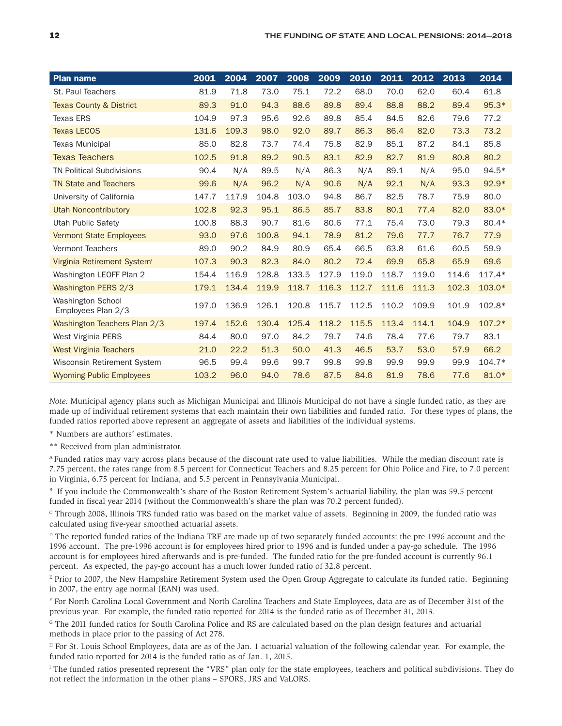| <b>Plan name</b>                               | 2001  | 2004  | 2007  | 2008  | 2009  | 2010  | 2011  | 2012  | 2013  | 2014     |
|------------------------------------------------|-------|-------|-------|-------|-------|-------|-------|-------|-------|----------|
| St. Paul Teachers                              | 81.9  | 71.8  | 73.0  | 75.1  | 72.2  | 68.0  | 70.0  | 62.0  | 60.4  | 61.8     |
| <b>Texas County &amp; District</b>             | 89.3  | 91.0  | 94.3  | 88.6  | 89.8  | 89.4  | 88.8  | 88.2  | 89.4  | $95.3*$  |
| <b>Texas ERS</b>                               | 104.9 | 97.3  | 95.6  | 92.6  | 89.8  | 85.4  | 84.5  | 82.6  | 79.6  | 77.2     |
| <b>Texas LECOS</b>                             | 131.6 | 109.3 | 98.0  | 92.0  | 89.7  | 86.3  | 86.4  | 82.0  | 73.3  | 73.2     |
| <b>Texas Municipal</b>                         | 85.0  | 82.8  | 73.7  | 74.4  | 75.8  | 82.9  | 85.1  | 87.2  | 84.1  | 85.8     |
| <b>Texas Teachers</b>                          | 102.5 | 91.8  | 89.2  | 90.5  | 83.1  | 82.9  | 82.7  | 81.9  | 80.8  | 80.2     |
| <b>TN Political Subdivisions</b>               | 90.4  | N/A   | 89.5  | N/A   | 86.3  | N/A   | 89.1  | N/A   | 95.0  | $94.5*$  |
| <b>TN State and Teachers</b>                   | 99.6  | N/A   | 96.2  | N/A   | 90.6  | N/A   | 92.1  | N/A   | 93.3  | $92.9*$  |
| University of California                       | 147.7 | 117.9 | 104.8 | 103.0 | 94.8  | 86.7  | 82.5  | 78.7  | 75.9  | 80.0     |
| <b>Utah Noncontributory</b>                    | 102.8 | 92.3  | 95.1  | 86.5  | 85.7  | 83.8  | 80.1  | 77.4  | 82.0  | 83.0*    |
| <b>Utah Public Safety</b>                      | 100.8 | 88.3  | 90.7  | 81.6  | 80.6  | 77.1  | 75.4  | 73.0  | 79.3  | 80.4*    |
| <b>Vermont State Employees</b>                 | 93.0  | 97.6  | 100.8 | 94.1  | 78.9  | 81.2  | 79.6  | 77.7  | 76.7  | 77.9     |
| <b>Vermont Teachers</b>                        | 89.0  | 90.2  | 84.9  | 80.9  | 65.4  | 66.5  | 63.8  | 61.6  | 60.5  | 59.9     |
| Virginia Retirement System                     | 107.3 | 90.3  | 82.3  | 84.0  | 80.2  | 72.4  | 69.9  | 65.8  | 65.9  | 69.6     |
| Washington LEOFF Plan 2                        | 154.4 | 116.9 | 128.8 | 133.5 | 127.9 | 119.0 | 118.7 | 119.0 | 114.6 | $117.4*$ |
| Washington PERS 2/3                            | 179.1 | 134.4 | 119.9 | 118.7 | 116.3 | 112.7 | 111.6 | 111.3 | 102.3 | $103.0*$ |
| <b>Washington School</b><br>Employees Plan 2/3 | 197.0 | 136.9 | 126.1 | 120.8 | 115.7 | 112.5 | 110.2 | 109.9 | 101.9 | 102.8*   |
| Washington Teachers Plan 2/3                   | 197.4 | 152.6 | 130.4 | 125.4 | 118.2 | 115.5 | 113.4 | 114.1 | 104.9 | $107.2*$ |
| West Virginia PERS                             | 84.4  | 80.0  | 97.0  | 84.2  | 79.7  | 74.6  | 78.4  | 77.6  | 79.7  | 83.1     |
| <b>West Virginia Teachers</b>                  | 21.0  | 22.2  | 51.3  | 50.0  | 41.3  | 46.5  | 53.7  | 53.0  | 57.9  | 66.2     |
| Wisconsin Retirement System                    | 96.5  | 99.4  | 99.6  | 99.7  | 99.8  | 99.8  | 99.9  | 99.9  | 99.9  | $104.7*$ |
| <b>Wyoming Public Employees</b>                | 103.2 | 96.0  | 94.0  | 78.6  | 87.5  | 84.6  | 81.9  | 78.6  | 77.6  | 81.0*    |

*Note:* Municipal agency plans such as Michigan Municipal and Illinois Municipal do not have a single funded ratio, as they are made up of individual retirement systems that each maintain their own liabilities and funded ratio. For these types of plans, the funded ratios reported above represent an aggregate of assets and liabilities of the individual systems.

\* Numbers are authors' estimates.

\*\* Received from plan administrator.

A Funded ratios may vary across plans because of the discount rate used to value liabilities. While the median discount rate is 7.75 percent, the rates range from 8.5 percent for Connecticut Teachers and 8.25 percent for Ohio Police and Fire, to 7.0 percent in Virginia, 6.75 percent for Indiana, and 5.5 percent in Pennsylvania Municipal.

<sup>B</sup> If you include the Commonwealth's share of the Boston Retirement System's actuarial liability, the plan was 59.5 percent funded in fiscal year 2014 (without the Commonwealth's share the plan was 70.2 percent funded).

C Through 2008, Illinois TRS funded ratio was based on the market value of assets. Beginning in 2009, the funded ratio was calculated using five-year smoothed actuarial assets.

 $D$  The reported funded ratios of the Indiana TRF are made up of two separately funded accounts: the pre-1996 account and the 1996 account. The pre-1996 account is for employees hired prior to 1996 and is funded under a pay-go schedule. The 1996 account is for employees hired afterwards and is pre-funded. The funded ratio for the pre-funded account is currently 96.1 percent. As expected, the pay-go account has a much lower funded ratio of 32.8 percent.

 $E$  Prior to 2007, the New Hampshire Retirement System used the Open Group Aggregate to calculate its funded ratio. Beginning in 2007, the entry age normal (EAN) was used.

F For North Carolina Local Government and North Carolina Teachers and State Employees, data are as of December 31st of the previous year. For example, the funded ratio reported for 2014 is the funded ratio as of December 31, 2013.

G The 2011 funded ratios for South Carolina Police and RS are calculated based on the plan design features and actuarial methods in place prior to the passing of Act 278.

<sup>H</sup> For St. Louis School Employees, data are as of the Jan. 1 actuarial valuation of the following calendar year. For example, the funded ratio reported for 2014 is the funded ratio as of Jan. 1, 2015.

<sup>1</sup> The funded ratios presented represent the "VRS" plan only for the state employees, teachers and political subdivisions. They do not reflect the information in the other plans – SPORS, JRS and VaLORS.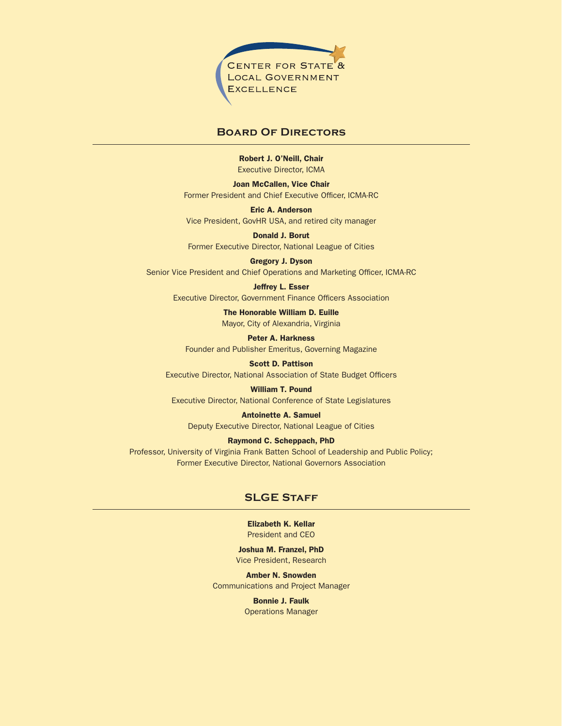

#### **Board Of Directors**

Robert J. O'Neill, Chair Executive Director, ICMA

Joan McCallen, Vice Chair Former President and Chief Executive Officer, ICMA-RC

Eric A. Anderson Vice President, GovHR USA, and retired city manager

Donald J. Borut Former Executive Director, National League of Cities

Gregory J. Dyson Senior Vice President and Chief Operations and Marketing Officer, ICMA-RC

Jeffrey L. Esser Executive Director, Government Finance Officers Association

> The Honorable William D. Euille Mayor, City of Alexandria, Virginia

Peter A. Harkness Founder and Publisher Emeritus, Governing Magazine

Scott D. Pattison Executive Director, National Association of State Budget Officers

William T. Pound Executive Director, National Conference of State Legislatures

Antoinette A. Samuel Deputy Executive Director, National League of Cities

Raymond C. Scheppach, PhD Professor, University of Virginia Frank Batten School of Leadership and Public Policy;

**SLGE Staff**

Former Executive Director, National Governors Association

Elizabeth K. Kellar President and CEO

Joshua M. Franzel, PhD Vice President, Research

Amber N. Snowden Communications and Project Manager

> Bonnie J. Faulk Operations Manager